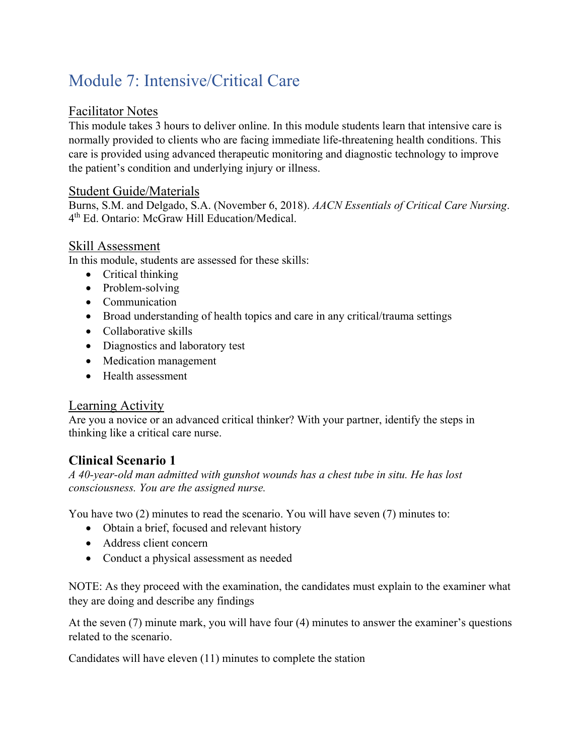# Module 7: Intensive/Critical Care

#### Facilitator Notes

This module takes 3 hours to deliver online. In this module students learn that intensive care is normally provided to clients who are facing immediate life-threatening health conditions. This care is provided using advanced therapeutic monitoring and diagnostic technology to improve the patient's condition and underlying injury or illness.

#### Student Guide/Materials

Burns, S.M. and Delgado, S.A. (November 6, 2018). *AACN Essentials of Critical Care Nursing*. 4th Ed. Ontario: McGraw Hill Education/Medical.

## Skill Assessment

In this module, students are assessed for these skills:

- Critical thinking
- Problem-solving
- Communication
- Broad understanding of health topics and care in any critical/trauma settings
- Collaborative skills
- Diagnostics and laboratory test
- Medication management
- Health assessment

#### Learning Activity

Are you a novice or an advanced critical thinker? With your partner, identify the steps in thinking like a critical care nurse.

## **Clinical Scenario 1**

*A 40-year-old man admitted with gunshot wounds has a chest tube in situ. He has lost consciousness. You are the assigned nurse.* 

You have two (2) minutes to read the scenario. You will have seven (7) minutes to:

- Obtain a brief, focused and relevant history
- Address client concern
- Conduct a physical assessment as needed

NOTE: As they proceed with the examination, the candidates must explain to the examiner what they are doing and describe any findings

At the seven (7) minute mark, you will have four (4) minutes to answer the examiner's questions related to the scenario.

Candidates will have eleven (11) minutes to complete the station